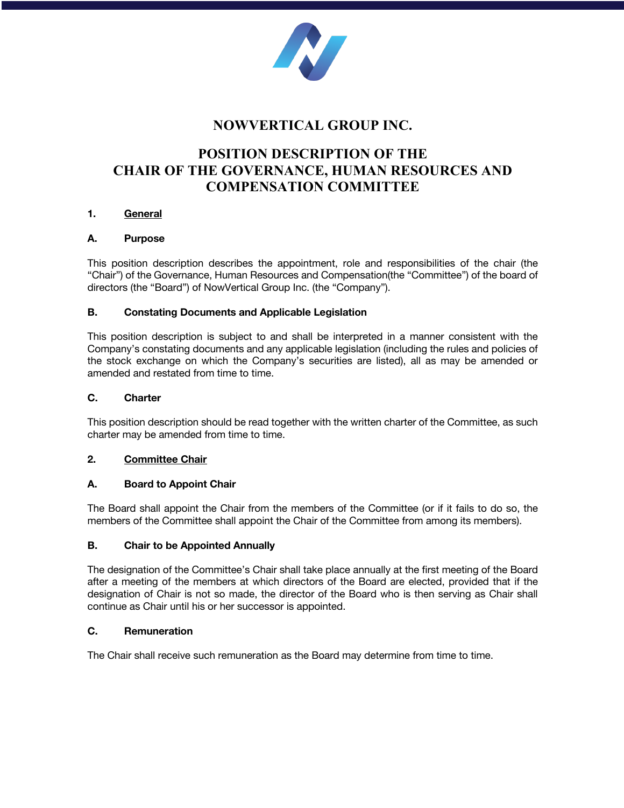

# **NOWVERTICAL GROUP INC.**

# **POSITION DESCRIPTION OF THE CHAIR OF THE GOVERNANCE, HUMAN RESOURCES AND COMPENSATION COMMITTEE**

## **1. General**

### **A. Purpose**

This position description describes the appointment, role and responsibilities of the chair (the "Chair") of the Governance, Human Resources and Compensation(the "Committee") of the board of directors (the "Board") of NowVertical Group Inc. (the "Company").

### **B. Constating Documents and Applicable Legislation**

This position description is subject to and shall be interpreted in a manner consistent with the Company's constating documents and any applicable legislation (including the rules and policies of the stock exchange on which the Company's securities are listed), all as may be amended or amended and restated from time to time.

### **C. Charter**

This position description should be read together with the written charter of the Committee, as such charter may be amended from time to time.

## **2. Committee Chair**

## **A. Board to Appoint Chair**

The Board shall appoint the Chair from the members of the Committee (or if it fails to do so, the members of the Committee shall appoint the Chair of the Committee from among its members).

## **B. Chair to be Appointed Annually**

The designation of the Committee's Chair shall take place annually at the first meeting of the Board after a meeting of the members at which directors of the Board are elected, provided that if the designation of Chair is not so made, the director of the Board who is then serving as Chair shall continue as Chair until his or her successor is appointed.

#### **C. Remuneration**

The Chair shall receive such remuneration as the Board may determine from time to time.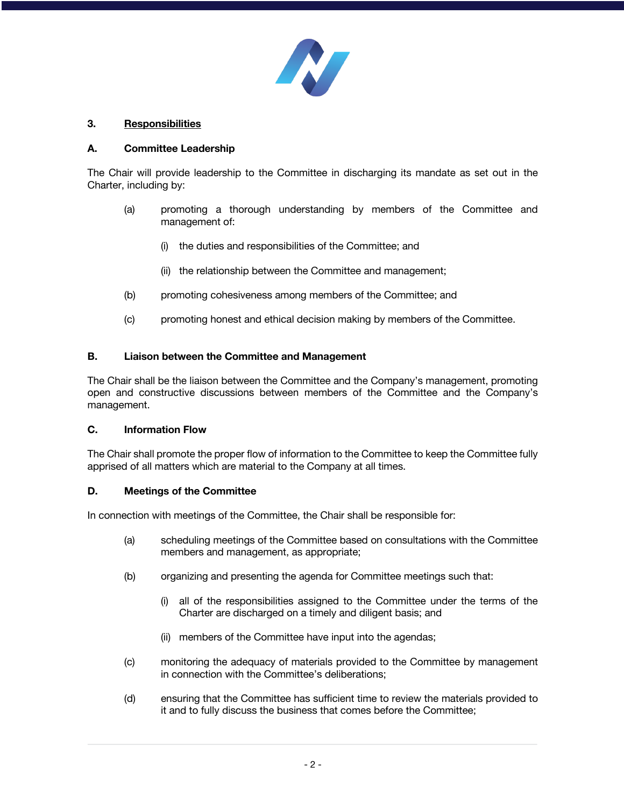

# **3. Responsibilities**

## **A. Committee Leadership**

The Chair will provide leadership to the Committee in discharging its mandate as set out in the Charter, including by:

- (a) promoting a thorough understanding by members of the Committee and management of:
	- (i) the duties and responsibilities of the Committee; and
	- (ii) the relationship between the Committee and management;
- (b) promoting cohesiveness among members of the Committee; and
- (c) promoting honest and ethical decision making by members of the Committee.

# **B. Liaison between the Committee and Management**

The Chair shall be the liaison between the Committee and the Company's management, promoting open and constructive discussions between members of the Committee and the Company's management.

## **C. Information Flow**

The Chair shall promote the proper flow of information to the Committee to keep the Committee fully apprised of all matters which are material to the Company at all times.

## **D. Meetings of the Committee**

In connection with meetings of the Committee, the Chair shall be responsible for:

- (a) scheduling meetings of the Committee based on consultations with the Committee members and management, as appropriate;
- (b) organizing and presenting the agenda for Committee meetings such that:
	- (i) all of the responsibilities assigned to the Committee under the terms of the Charter are discharged on a timely and diligent basis; and
	- (ii) members of the Committee have input into the agendas;
- (c) monitoring the adequacy of materials provided to the Committee by management in connection with the Committee's deliberations;
- (d) ensuring that the Committee has sufficient time to review the materials provided to it and to fully discuss the business that comes before the Committee;